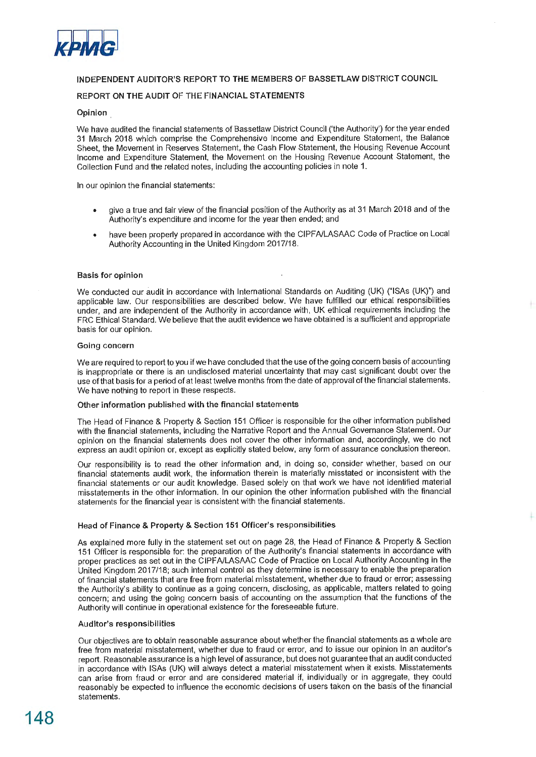

# **INDEPENDENT AUDITOR'S REPORT TO THE MEMBERS OF BASSETLAW DISTRICT COUNCIL**

# **REPORT ON THE AUDIT OF THE FINANCIAL STATEMENTS**

## **Opinion ,**

We have audited the financial statements of Bassetlaw District Council ('the Authority') for the year ended 31 March 2018 which comprise the Comprehensive Income and Expenditure Statement, the Balance Sheet, the Movement in Reserves Statement, the Cash Flow Statement, the Housing Revenue Account Income and Expenditure Statement, the Movement on the Housing Revenue Account Statement, the Collection Fund and the related notes, including the accounting policies in note 1.

In our opinion the financial statements:

- give a true and fair view of the financial position of the Authority as at 31 March 2018 and of the Authority's expenditure and income for the year then ended; and
- have been properly prepared in accordance with the CIPFA/LASAAC Code of Practice on Local Authority Accounting in the United Kingdom 2017/18.

## Basis for opinion

We conducted our audit in accordance with International Standards on Auditing (UK) ("ISAs (UK)") and applicable law. Our responsibilities are described below. We have fulfilled our ethical responsibilities under, and are independent of the Authority in accordance with, UK ethical requirements including the FRC Ethical Standard. We believe that the audit evidence we have obtained is a sufficient and appropriate basis for our opinion.

#### **Going concern**

We are required to report to you if we have concluded that the use of the going concern basis of accounting is inappropriate or there is an undisclosed material uncertainty that may cast significant doubt over the use of that basis for a period of at least twelve months from the date of approval of the financial statements. We have nothing to report in these respects.

#### **Other information published with the financial statements**

The Head of Finance & Property & Section 151 Officer is responsible for the other information published with the financial statements, including the Narrative Report and the Annual Governance Statement. Our opinion on the financial statements does not cover the other information and, accordingly, we do not express an audit opinion or, except as explicitly stated below, any form of assurance conclusion thereon.

Our responsibility is to read the other information and, in doing so, consider whether, based on our financial statements audit work, the information therein is materially misstated or inconsistent with the financial statements or our audit knowledge. Based solely on that work we have not identified material misstatements in the other information. In our opinion the other information published with the financial statements for the financial year is consistent with the financial statements.

## Head of Finance & Property & Section 151 Officer's responsibilities

As explained more fully in the statement set out on page 28, the Head of Finance & Property & Section 151 Officer is responsible for: the preparation of the Authority's financial statements in accordance with proper practices as set out in the CIPFA/LASAAC Code of Practice on Local Authority Accounting in the United Kingdom 2017/18; such internal control as they determine is necessary to enable the preparation of financial statements that are free from material misstatement, whether due to fraud or error; assessing the Authority's ability to continue as a going concern, disclosing, as applicable, matters related to going concern; and using the going concern basis of accounting on the assumption that the functions of the Authority will continue in operational existence for the foreseeable future.

#### **Auditor's responsibilities**

Our objectives are to obtain reasonable assurance about whether the financial statements as a whole are free from material misstatement, whether due to fraud or error, and to issue our opinion in an auditor's report. Reasonable assurance is a high level of assurance, but does not guarantee that an audit conducted in accordance with ISAs (UK) will always detect a material misstatement when it exists. Misstatements can arise from fraud or error and are considered material if, individually or in aggregate, they could reasonably be expected to influence the economic decisions of users taken on the basis of the financial statements.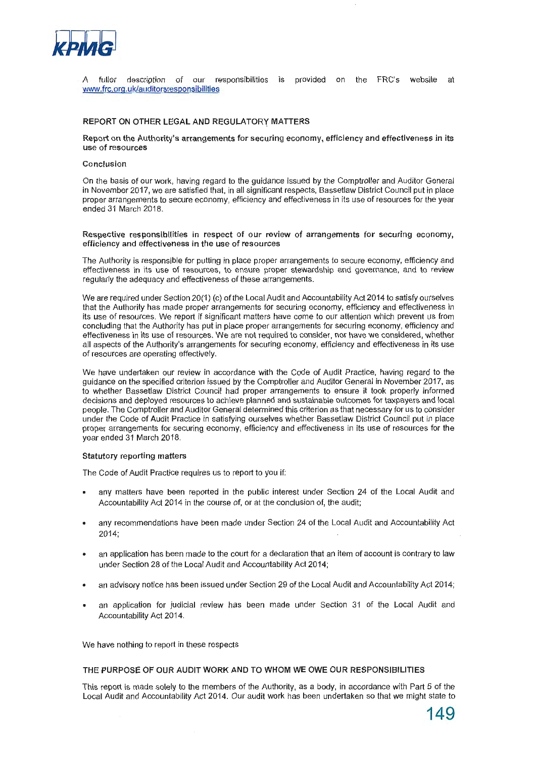

A fuller description of our responsibilities is provided on the FRC's website at www.frc.orq.uk/auditorsresponsibilities

## **REPORT ON OTHER LEGAL AND REGULATORY MATTERS**

**Report on the Authority's arrangements for securing economy, efficiency and effectiveness in its use of resources** 

#### **Conclusion**

On the basis of our work, having regard to the guidance issued by the Comptroller and Auditor General in November 2017, we are satisfied that, in all significant respects, Bassetlaw District Council put in place proper arrangements to secure economy, efficiency and effectiveness in its use of resources for the year ended 31 March 2018.

**Respective responsibilities in respect of our review of arrangements for securing economy, efficiency and effectiveness** in **the use of resources** 

The Authority is responsible for putting in place proper arrangements to secure economy, efficiency and effectiveness in its use of resources, to ensure proper stewardship and governance, and to review regularly the adequacy and effectiveness of these arrangements.

We are required under Section 20(1) (c) of the Local Audit and Accountability Act 2014 to satisfy ourselves that the Authority has made proper arrangements for securing economy, efficiency and effectiveness in its use of resources. We report if significant matters have come to our attention which prevent us from concluding that the Authority has put in place proper arrangements for securing economy, efficiency and effectiveness in its use of resources. We are not required to consider, nor have we considered, whether all aspects of the Authority's arrangements for securing economy, efficiency and effectiveness in its use of resources are operating effectively.

We have undertaken our review in accordance with the Code of Audit Practice, having regard to the guidance on the specified criterion issued by the Comptroller and Auditor General in November 2017, as to whether Bassetlaw District Council had proper arrangements to ensure it took properly informed decisions and deployed resources to achieve planned and sustainable outcomes for taxpayers and local people. The Comptroller and Auditor General determined this criterion as that necessary for us to consider under the Code of Audit Practice in satisfying ourselves whether Bassetlaw District Council put in place proper arrangements for securing economy, efficiency and effectiveness in its use of resources for the year ended 31 March 2018.

#### **Statutory reporting matters**

The Code of Audit Practice requires us to report to you if:

- any matters have been reported in the public interest under Section 24 of the Local Audit and Accountability Act 2014 in the course of, or at the conclusion of, the audit;
- any recommendations have been made under Section 24 of the Local Audit and Accountability Act 2014;
- an application has been made to the court for a declaration that an item of account is contrary to law under Section 28 of the Local Audit and Accountability Act 2014;
- an advisory notice has been issued under Section 29 of the Local Audit and Accountability Act 2014;
- an application for judicial review has been made under Section 31 of the Local Audit and Accountability Act 2014.

We have nothing to report in these respects

## THE PURPOSE OF OUR AUDIT WORK AND TO WHOM WE OWE OUR RESPONSIBILITIES

This report is made solely to the members of the Authority, as a body, in accordance with Part 5 of the Local Audit and Accountability Act 2014. Our audit work has been undertaken so that we might state to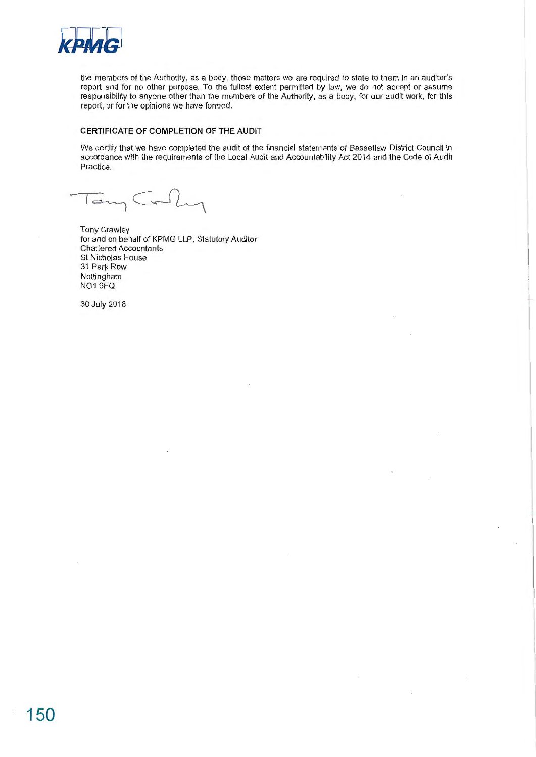

the members of the Authority, as a body, those matters we are required to state to them in an auditor's report and for no other purpose. To the fullest extent permitted by law, we do not accept or assume responsibility to anyone other than the members of the Authority, as a body, for our audit work, for this report, or for the opinions we have formed.

# **CERTIFICATE OF COMPLETION OF THE AUDIT**

We certify that we have completed the audit of the financial statements of Bassetlaw District Council in accordance with the requirements of the Local Audit and Accountability Act 2014 and the Code of Audit Practice.

 $lcm<sub>1</sub>$ 

Tony Crawley for and on behalf of KPMG LLP, Statutory Auditor Chartered Accountants St Nicholas House 31 Park Row Nottingham NG1 6FQ

30 July 2018